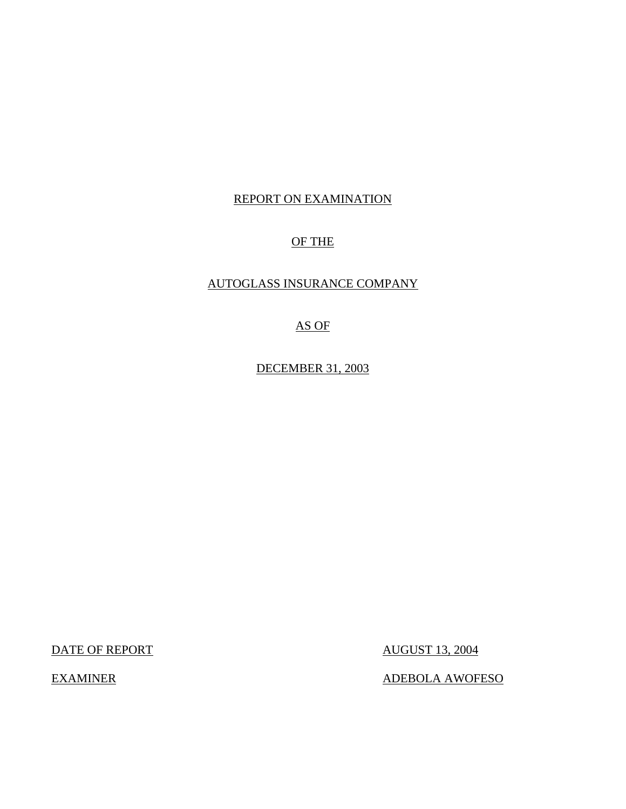# REPORT ON EXAMINATION

# OF THE

# AUTOGLASS INSURANCE COMPANY

# AS OF

DECEMBER 31, 2003

DATE OF REPORT AUGUST 13, 2004

EXAMINER ADEBOLA AWOFESO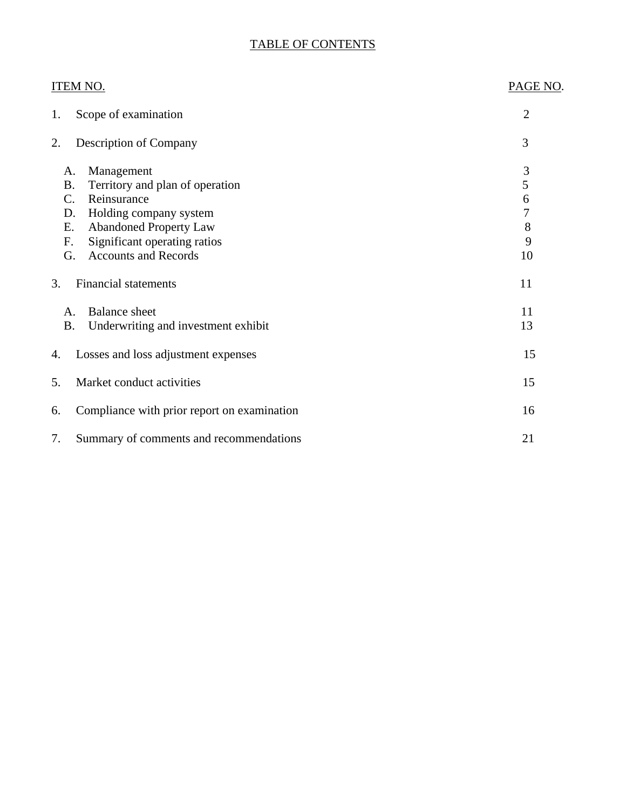# TABLE OF CONTENTS

| <b>ITEM NO.</b>                                                                                                                                                                                                                         | PAGE NO.                                                  |
|-----------------------------------------------------------------------------------------------------------------------------------------------------------------------------------------------------------------------------------------|-----------------------------------------------------------|
| Scope of examination<br>1.                                                                                                                                                                                                              | $\overline{2}$                                            |
| <b>Description of Company</b><br>2.                                                                                                                                                                                                     | 3                                                         |
| Management<br>A.<br><b>B.</b><br>Territory and plan of operation<br>Reinsurance<br>C.<br>Holding company system<br>D.<br><b>Abandoned Property Law</b><br>Ε.<br>Significant operating ratios<br>F.<br><b>Accounts and Records</b><br>G. | 3<br>$\mathfrak s$<br>6<br>$\overline{7}$<br>8<br>9<br>10 |
| <b>Financial statements</b><br>3.                                                                                                                                                                                                       | 11                                                        |
| <b>Balance</b> sheet<br>A.<br><b>B.</b><br>Underwriting and investment exhibit                                                                                                                                                          | 11<br>13                                                  |
| Losses and loss adjustment expenses<br>4.                                                                                                                                                                                               | 15                                                        |
| Market conduct activities<br>5.                                                                                                                                                                                                         | 15                                                        |
| Compliance with prior report on examination<br>6.                                                                                                                                                                                       | 16                                                        |
| 7.<br>Summary of comments and recommendations                                                                                                                                                                                           | 21                                                        |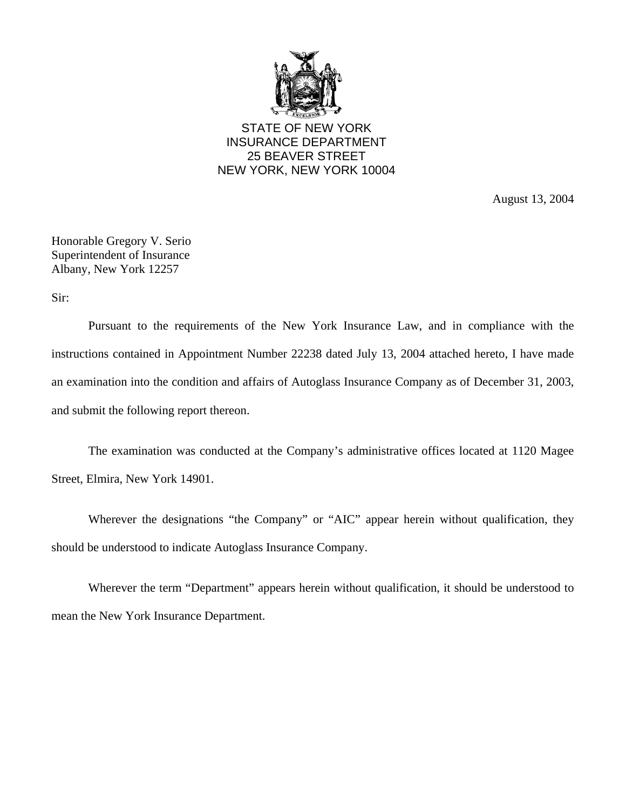

STATE OF NEW YORK INSURANCE DEPARTMENT 25 BEAVER STREET NEW YORK, NEW YORK 10004

August 13, 2004

Honorable Gregory V. Serio Superintendent of Insurance Albany, New York 12257

Sir:

Pursuant to the requirements of the New York Insurance Law, and in compliance with the instructions contained in Appointment Number 22238 dated July 13, 2004 attached hereto, I have made an examination into the condition and affairs of Autoglass Insurance Company as of December 31, 2003, and submit the following report thereon.

The examination was conducted at the Company's administrative offices located at 1120 Magee Street, Elmira, New York 14901.

Wherever the designations "the Company" or "AIC" appear herein without qualification, they should be understood to indicate Autoglass Insurance Company.

Wherever the term "Department" appears herein without qualification, it should be understood to mean the New York Insurance Department.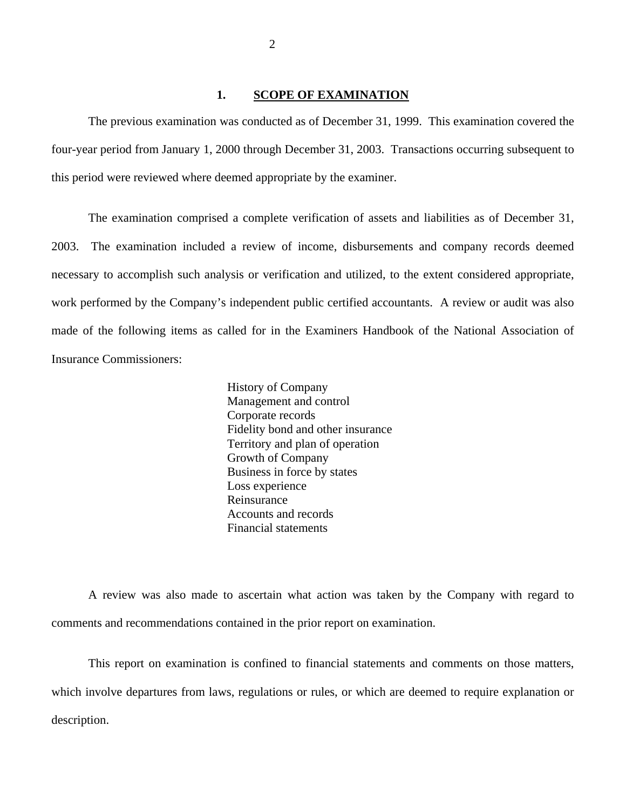#### **1. SCOPE OF EXAMINATION**

<span id="page-3-0"></span>The previous examination was conducted as of December 31, 1999. This examination covered the four-year period from January 1, 2000 through December 31, 2003. Transactions occurring subsequent to this period were reviewed where deemed appropriate by the examiner.

The examination comprised a complete verification of assets and liabilities as of December 31, 2003. The examination included a review of income, disbursements and company records deemed necessary to accomplish such analysis or verification and utilized, to the extent considered appropriate, work performed by the Company's independent public certified accountants. A review or audit was also made of the following items as called for in the Examiners Handbook of the National Association of Insurance Commissioners:

> History of Company Management and control Corporate records Fidelity bond and other insurance Territory and plan of operation Growth of Company Business in force by states Loss experience Reinsurance Accounts and records Financial statements

A review was also made to ascertain what action was taken by the Company with regard to comments and recommendations contained in the prior report on examination.

This report on examination is confined to financial statements and comments on those matters, which involve departures from laws, regulations or rules, or which are deemed to require explanation or description.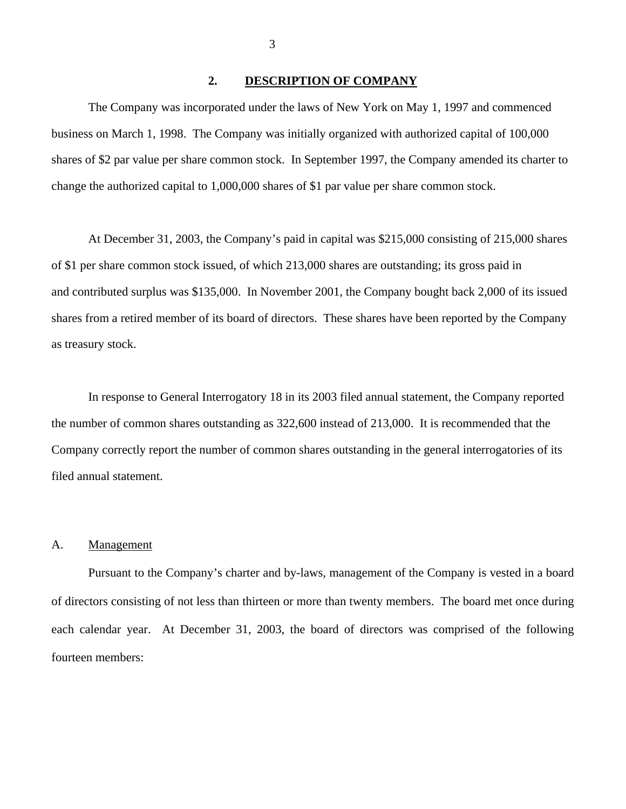#### **2. DESCRIPTION OF COMPANY**

The Company was incorporated under the laws of New York on May 1, 1997 and commenced business on March 1, 1998. The Company was initially organized with authorized capital of 100,000 shares of \$2 par value per share common stock. In September 1997, the Company amended its charter to change the authorized capital to 1,000,000 shares of \$1 par value per share common stock.

At December 31, 2003, the Company's paid in capital was \$215,000 consisting of 215,000 shares of \$1 per share common stock issued, of which 213,000 shares are outstanding; its gross paid in and contributed surplus was \$135,000. In November 2001, the Company bought back 2,000 of its issued shares from a retired member of its board of directors. These shares have been reported by the Company as treasury stock.

In response to General Interrogatory 18 in its 2003 filed annual statement, the Company reported the number of common shares outstanding as 322,600 instead of 213,000. It is recommended that the Company correctly report the number of common shares outstanding in the general interrogatories of its filed annual statement.

#### A. Management

Pursuant to the Company's charter and by-laws, management of the Company is vested in a board of directors consisting of not less than thirteen or more than twenty members. The board met once during each calendar year. At December 31, 2003, the board of directors was comprised of the following fourteen members:

<span id="page-4-0"></span>3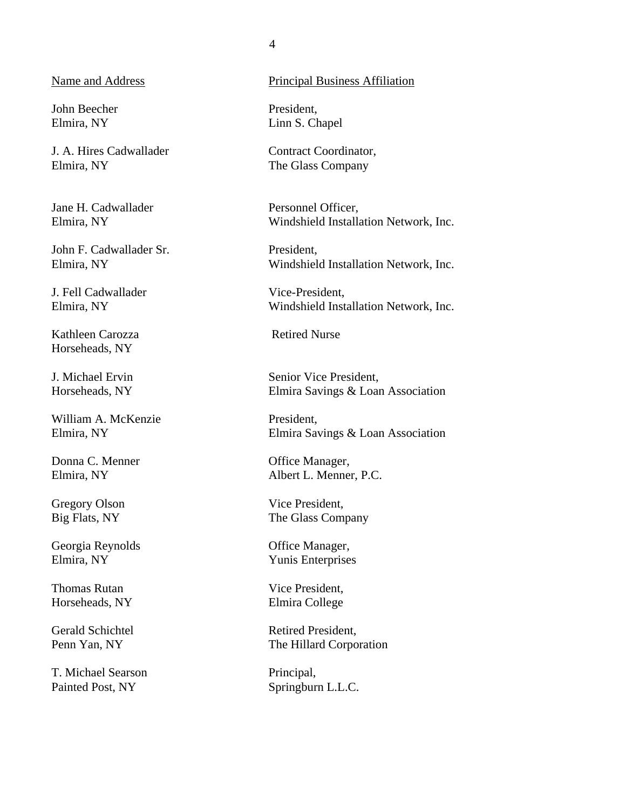#### Name and Address

John Beecher Elmira, NY

J. A. Hires Cadwallader Elmira, NY

Jane H. Cadwallader Elmira, NY

John F. Cadwallader Sr. Elmira, NY

J. Fell Cadwallader Elmira, NY

Kathleen Carozza Horseheads, NY

J. Michael Ervin Horseheads, NY

William A. McKenzie Elmira, NY

Donna C. Menner Elmira, NY

Gregory Olson Big Flats, NY

Georgia Reynolds Elmira, NY

Thomas Rutan Horseheads, NY

Gerald Schichtel Penn Yan, NY

T. Michael Searson Painted Post, NY

### Principal Business Affiliation

President, Linn S. Chapel

Contract Coordinator, The Glass Company

Personnel Officer, Windshield Installation Network, Inc.

President, Windshield Installation Network, Inc.

Vice-President, Windshield Installation Network, Inc.

Retired Nurse

Senior Vice President, Elmira Savings & Loan Association

President, Elmira Savings & Loan Association

Office Manager, Albert L. Menner, P.C.

Vice President, The Glass Company

Office Manager, Yunis Enterprises

Vice President, Elmira College

Retired President, The Hillard Corporation

Principal, Springburn L.L.C.

4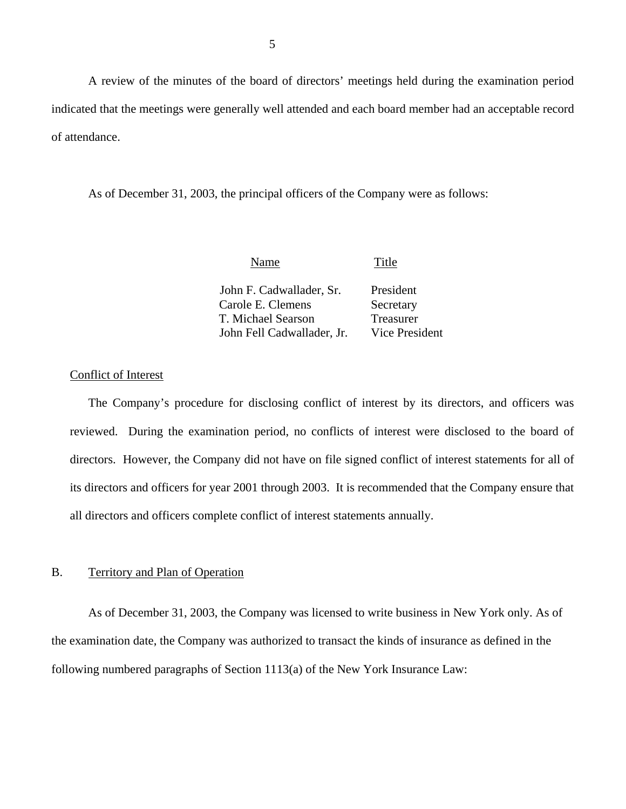<span id="page-6-0"></span>A review of the minutes of the board of directors' meetings held during the examination period indicated that the meetings were generally well attended and each board member had an acceptable record of attendance.

As of December 31, 2003, the principal officers of the Company were as follows:

| Name                       | Title          |
|----------------------------|----------------|
| John F. Cadwallader, Sr.   | President      |
| Carole E. Clemens          | Secretary      |
| T. Michael Searson         | Treasurer      |
| John Fell Cadwallader, Jr. | Vice President |

#### Conflict of Interest

The Company's procedure for disclosing conflict of interest by its directors, and officers was reviewed. During the examination period, no conflicts of interest were disclosed to the board of directors. However, the Company did not have on file signed conflict of interest statements for all of its directors and officers for year 2001 through 2003. It is recommended that the Company ensure that all directors and officers complete conflict of interest statements annually.

#### B. Territory and Plan of Operation

As of December 31, 2003, the Company was licensed to write business in New York only. As of the examination date, the Company was authorized to transact the kinds of insurance as defined in the following numbered paragraphs of Section 1113(a) of the New York Insurance Law: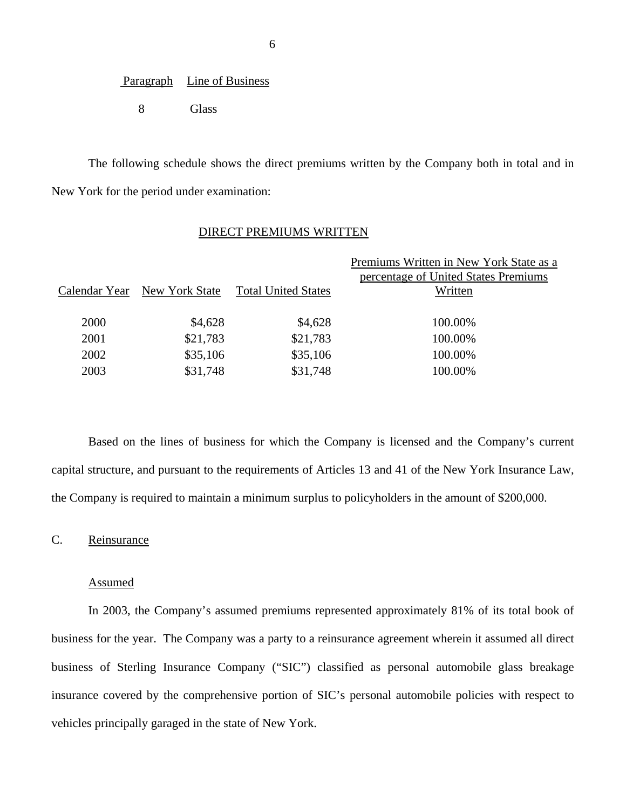#### Paragraph Line of Business

8 Glass

The following schedule shows the direct premiums written by the Company both in total and in New York for the period under examination:

#### DIRECT PREMIUMS WRITTEN

|               |                |                            | Premiums Written in New York State as a |
|---------------|----------------|----------------------------|-----------------------------------------|
|               |                |                            | percentage of United States Premiums    |
| Calendar Year | New York State | <b>Total United States</b> | Written                                 |
|               |                |                            |                                         |
| 2000          | \$4,628        | \$4,628                    | 100.00%                                 |
| 2001          | \$21,783       | \$21,783                   | 100.00%                                 |
| 2002          | \$35,106       | \$35,106                   | 100.00%                                 |
| 2003          | \$31,748       | \$31,748                   | 100.00%                                 |
|               |                |                            |                                         |

Based on the lines of business for which the Company is licensed and the Company's current capital structure, and pursuant to the requirements of Articles 13 and 41 of the New York Insurance Law, the Company is required to maintain a minimum surplus to policyholders in the amount of \$200,000.

# C. Reinsurance

#### Assumed

In 2003, the Company's assumed premiums represented approximately 81% of its total book of business for the year. The Company was a party to a reinsurance agreement wherein it assumed all direct business of Sterling Insurance Company ("SIC") classified as personal automobile glass breakage insurance covered by the comprehensive portion of SIC's personal automobile policies with respect to vehicles principally garaged in the state of New York.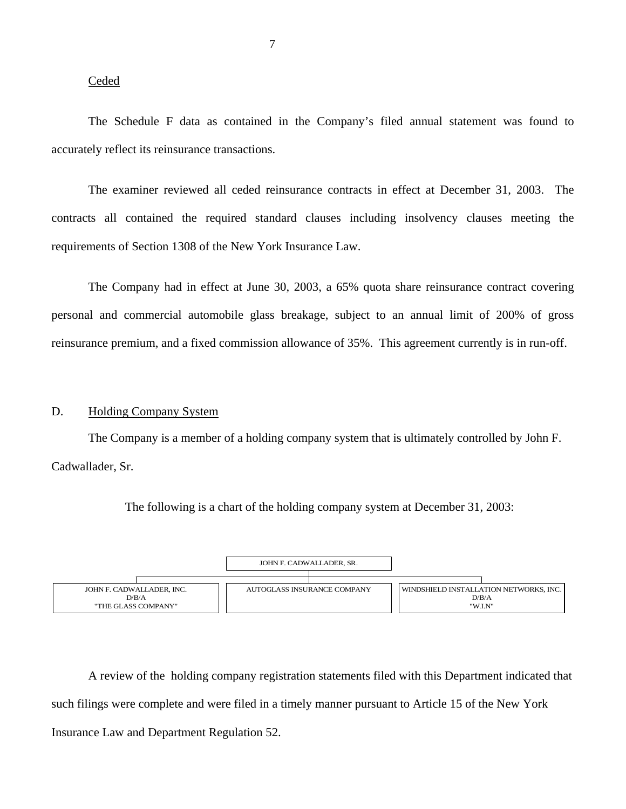#### Ceded

The Schedule F data as contained in the Company's filed annual statement was found to accurately reflect its reinsurance transactions.

The examiner reviewed all ceded reinsurance contracts in effect at December 31, 2003. The contracts all contained the required standard clauses including insolvency clauses meeting the requirements of Section 1308 of the New York Insurance Law.

The Company had in effect at June 30, 2003, a 65% quota share reinsurance contract covering personal and commercial automobile glass breakage, subject to an annual limit of 200% of gross reinsurance premium, and a fixed commission allowance of 35%. This agreement currently is in run-off.

#### D. Holding Company System

The Company is a member of a holding company system that is ultimately controlled by John F. Cadwallader, Sr.

The following is a chart of the holding company system at December 31, 2003:



A review of the holding company registration statements filed with this Department indicated that such filings were complete and were filed in a timely manner pursuant to Article 15 of the New York Insurance Law and Department Regulation 52.

<span id="page-8-0"></span>7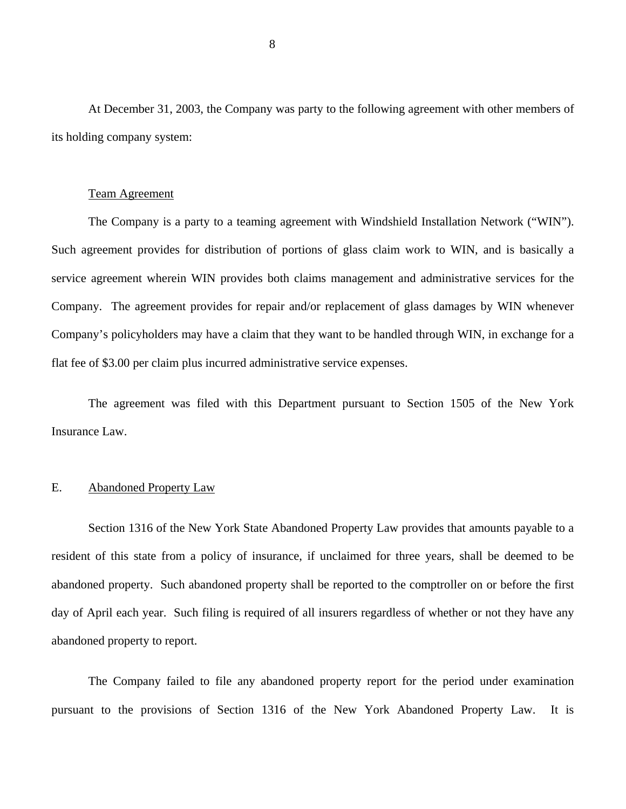<span id="page-9-0"></span>At December 31, 2003, the Company was party to the following agreement with other members of its holding company system:

#### Team Agreement

The Company is a party to a teaming agreement with Windshield Installation Network ("WIN"). Such agreement provides for distribution of portions of glass claim work to WIN, and is basically a service agreement wherein WIN provides both claims management and administrative services for the Company. The agreement provides for repair and/or replacement of glass damages by WIN whenever Company's policyholders may have a claim that they want to be handled through WIN, in exchange for a flat fee of \$3.00 per claim plus incurred administrative service expenses.

The agreement was filed with this Department pursuant to Section 1505 of the New York Insurance Law.

#### E. Abandoned Property Law

Section 1316 of the New York State Abandoned Property Law provides that amounts payable to a resident of this state from a policy of insurance, if unclaimed for three years, shall be deemed to be abandoned property. Such abandoned property shall be reported to the comptroller on or before the first day of April each year. Such filing is required of all insurers regardless of whether or not they have any abandoned property to report.

The Company failed to file any abandoned property report for the period under examination pursuant to the provisions of Section 1316 of the New York Abandoned Property Law. It is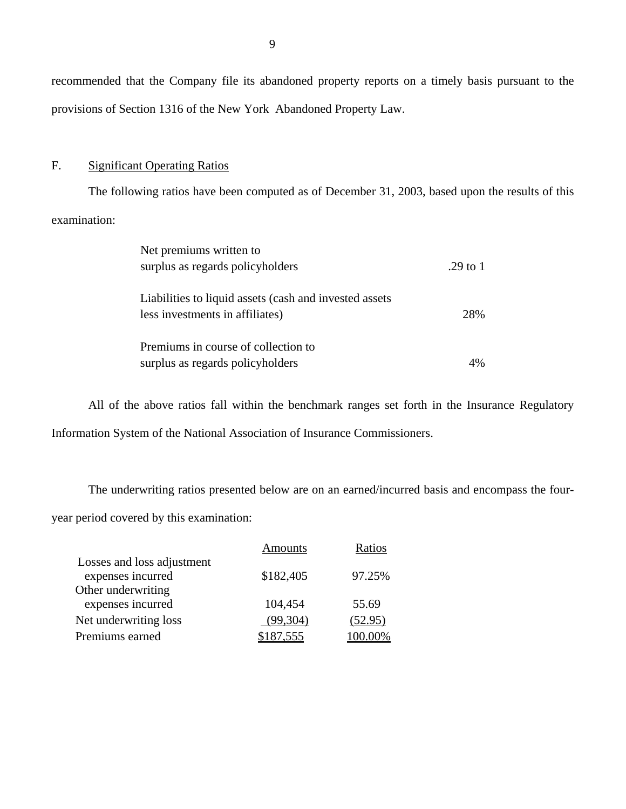recommended that the Company file its abandoned property reports on a timely basis pursuant to the provisions of Section 1316 of the New York Abandoned Property Law.

#### F. Significant Operating Ratios

The following ratios have been computed as of December 31, 2003, based upon the results of this examination:

| Net premiums written to                                 |          |
|---------------------------------------------------------|----------|
| surplus as regards policyholders                        | .29 to 1 |
|                                                         |          |
| Liabilities to liquid assets (cash and invested assets) |          |
| less investments in affiliates)                         | 28%      |
|                                                         |          |
| Premiums in course of collection to                     |          |
| surplus as regards policyholders                        |          |

All of the above ratios fall within the benchmark ranges set forth in the Insurance Regulatory Information System of the National Association of Insurance Commissioners.

The underwriting ratios presented below are on an earned/incurred basis and encompass the fouryear period covered by this examination:

|                                                 | Amounts   |         |
|-------------------------------------------------|-----------|---------|
| Losses and loss adjustment<br>expenses incurred | \$182,405 | 97.25%  |
| Other underwriting<br>expenses incurred         | 104,454   | 55.69   |
| Net underwriting loss                           | (99,304)  | (52.95) |
| Premiums earned                                 |           |         |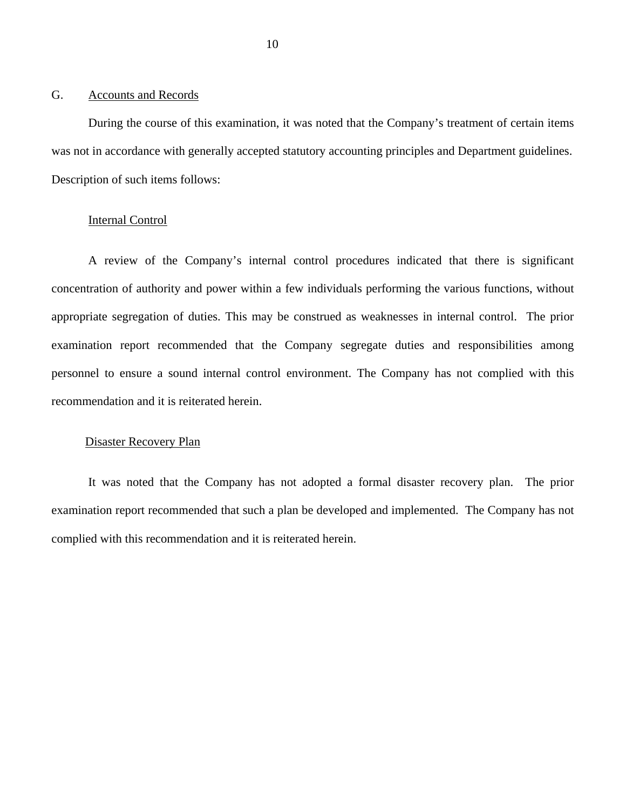#### <span id="page-11-0"></span>G. Accounts and Records

During the course of this examination, it was noted that the Company's treatment of certain items was not in accordance with generally accepted statutory accounting principles and Department guidelines. Description of such items follows:

### Internal Control

A review of the Company's internal control procedures indicated that there is significant concentration of authority and power within a few individuals performing the various functions, without appropriate segregation of duties. This may be construed as weaknesses in internal control. The prior examination report recommended that the Company segregate duties and responsibilities among personnel to ensure a sound internal control environment. The Company has not complied with this recommendation and it is reiterated herein.

#### Disaster Recovery Plan

It was noted that the Company has not adopted a formal disaster recovery plan. The prior examination report recommended that such a plan be developed and implemented. The Company has not complied with this recommendation and it is reiterated herein.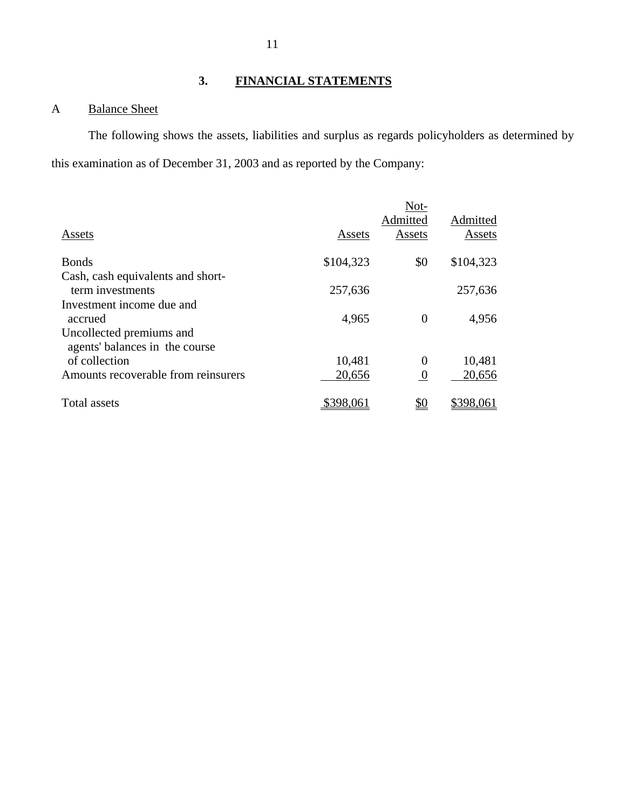# **3. FINANCIAL STATEMENTS**

# A Balance Sheet

The following shows the assets, liabilities and surplus as regards policyholders as determined by this examination as of December 31, 2003 and as reported by the Company:

|           | Not-             |           |
|-----------|------------------|-----------|
|           | Admitted         | Admitted  |
| Assets    | Assets           | Assets    |
| \$104,323 | \$0              | \$104,323 |
|           |                  |           |
| 257,636   |                  | 257,636   |
|           |                  |           |
| 4,965     | $\overline{0}$   | 4,956     |
|           |                  |           |
|           |                  |           |
| 10,481    | $\theta$         | 10,481    |
| 20,656    | $\boldsymbol{0}$ | 20,656    |
| \$398,061 | <u>\$0</u>       | \$398,061 |
|           |                  |           |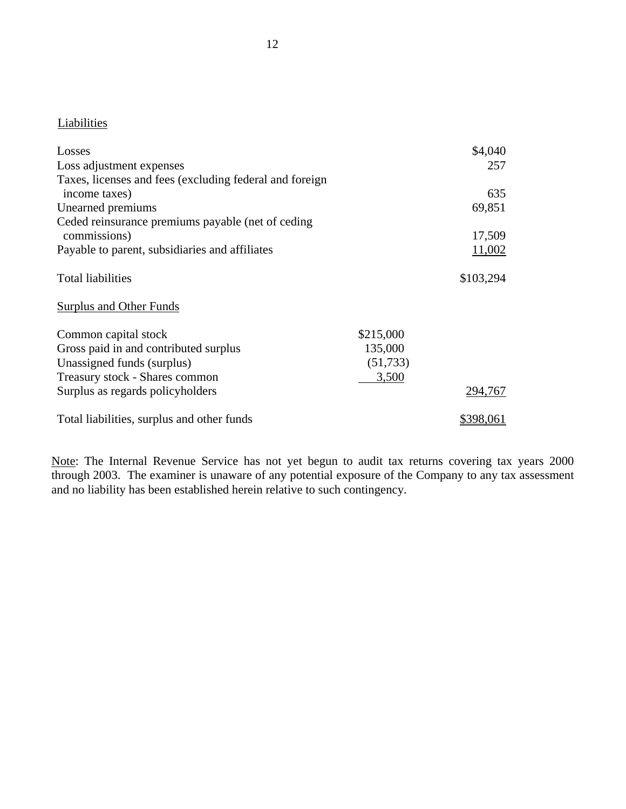# **Liabilities**

| Losses                                                  |           | \$4,040          |
|---------------------------------------------------------|-----------|------------------|
| Loss adjustment expenses                                |           | 257              |
| Taxes, licenses and fees (excluding federal and foreign |           |                  |
| income taxes)                                           |           | 635              |
| Unearned premiums                                       |           | 69,851           |
| Ceded reinsurance premiums payable (net of ceding       |           |                  |
| commissions)                                            |           | 17,509           |
| Payable to parent, subsidiaries and affiliates          |           | 11,002           |
| <b>Total liabilities</b>                                |           | \$103,294        |
| Surplus and Other Funds                                 |           |                  |
| Common capital stock                                    | \$215,000 |                  |
| Gross paid in and contributed surplus                   | 135,000   |                  |
| Unassigned funds (surplus)                              | (51, 733) |                  |
| Treasury stock - Shares common                          | 3,500     |                  |
| Surplus as regards policyholders                        |           | 294,767          |
| Total liabilities, surplus and other funds              |           | <u>\$398,061</u> |

Note: The Internal Revenue Service has not yet begun to audit tax returns covering tax years 2000 through 2003. The examiner is unaware of any potential exposure of the Company to any tax assessment and no liability has been established herein relative to such contingency.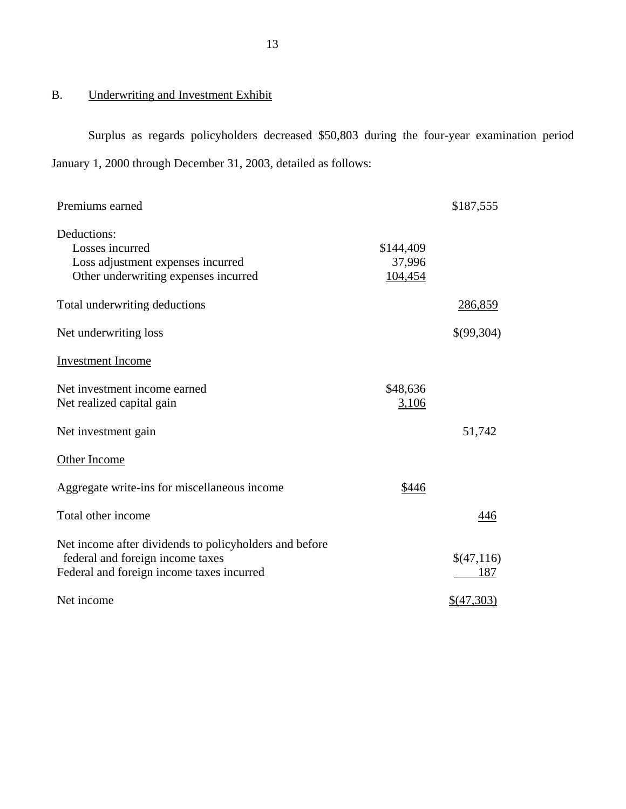# B. Underwriting and Investment Exhibit

Surplus as regards policyholders decreased \$50,803 during the four-year examination period January 1, 2000 through December 31, 2003, detailed as follows:

| Premiums earned                                                                                                                         |                                | \$187,555             |
|-----------------------------------------------------------------------------------------------------------------------------------------|--------------------------------|-----------------------|
| Deductions:<br>Losses incurred<br>Loss adjustment expenses incurred<br>Other underwriting expenses incurred                             | \$144,409<br>37,996<br>104,454 |                       |
| Total underwriting deductions                                                                                                           |                                | 286,859               |
| Net underwriting loss                                                                                                                   |                                | \$(99,304)            |
| <b>Investment Income</b>                                                                                                                |                                |                       |
| Net investment income earned<br>Net realized capital gain                                                                               | \$48,636<br>3,106              |                       |
| Net investment gain                                                                                                                     |                                | 51,742                |
| Other Income                                                                                                                            |                                |                       |
| Aggregate write-ins for miscellaneous income                                                                                            | \$446                          |                       |
| Total other income                                                                                                                      |                                | 446                   |
| Net income after dividends to policyholders and before<br>federal and foreign income taxes<br>Federal and foreign income taxes incurred |                                | \$(47,116)<br>187     |
| Net income                                                                                                                              |                                | $\frac{$(47,303)}{2}$ |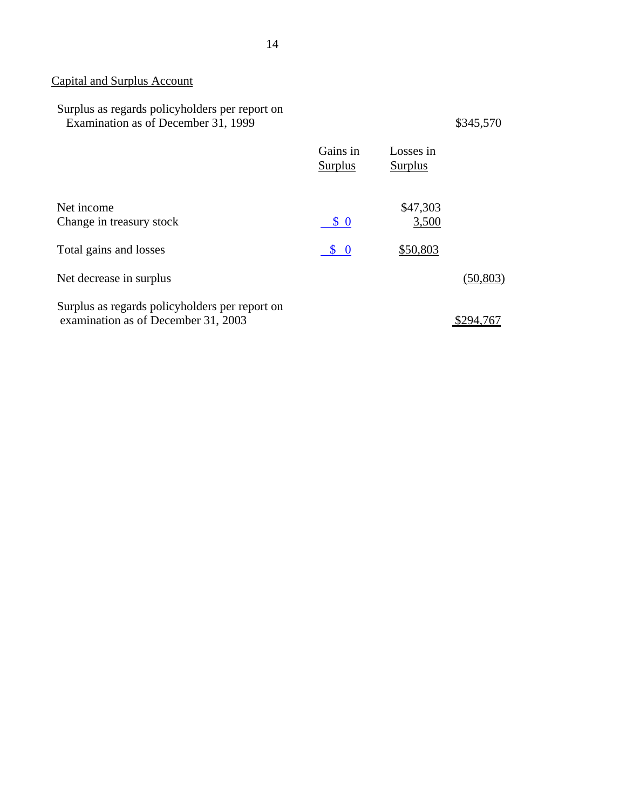# Capital and Surplus Account

| Surplus as regards policyholders per report on<br>Examination as of December 31, 1999 |                     |                             | \$345,570 |
|---------------------------------------------------------------------------------------|---------------------|-----------------------------|-----------|
|                                                                                       | Gains in<br>Surplus | Losses in<br><b>Surplus</b> |           |
| Net income<br>Change in treasury stock                                                | $\frac{1}{2}$       | \$47,303<br>3,500           |           |
| Total gains and losses                                                                | $\bm{S}$ 0          | \$50,803                    |           |
| Net decrease in surplus                                                               |                     |                             | (50, 803) |
| Surplus as regards policyholders per report on<br>examination as of December 31, 2003 |                     |                             | \$294.76  |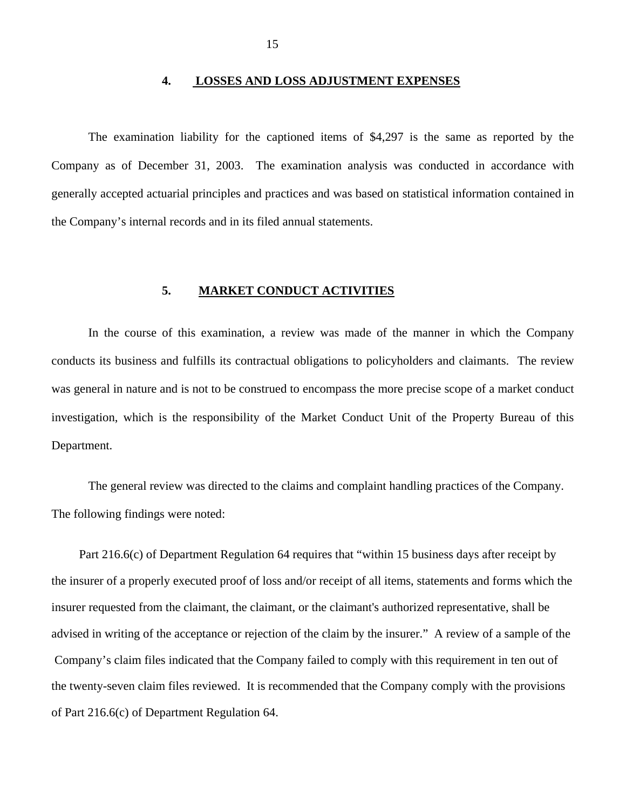#### **4. LOSSES AND LOSS ADJUSTMENT EXPENSES**

<span id="page-16-0"></span>The examination liability for the captioned items of \$4,297 is the same as reported by the Company as of December 31, 2003. The examination analysis was conducted in accordance with generally accepted actuarial principles and practices and was based on statistical information contained in the Company's internal records and in its filed annual statements.

#### **5. MARKET CONDUCT ACTIVITIES**

In the course of this examination, a review was made of the manner in which the Company conducts its business and fulfills its contractual obligations to policyholders and claimants. The review was general in nature and is not to be construed to encompass the more precise scope of a market conduct investigation, which is the responsibility of the Market Conduct Unit of the Property Bureau of this Department.

The general review was directed to the claims and complaint handling practices of the Company. The following findings were noted:

 Part 216.6(c) of Department Regulation 64 requires that "within 15 business days after receipt by the insurer of a properly executed proof of loss and/or receipt of all items, statements and forms which the insurer requested from the claimant, the claimant, or the claimant's authorized representative, shall be advised in writing of the acceptance or rejection of the claim by the insurer." A review of a sample of the Company's claim files indicated that the Company failed to comply with this requirement in ten out of the twenty-seven claim files reviewed. It is recommended that the Company comply with the provisions of Part 216.6(c) of Department Regulation 64.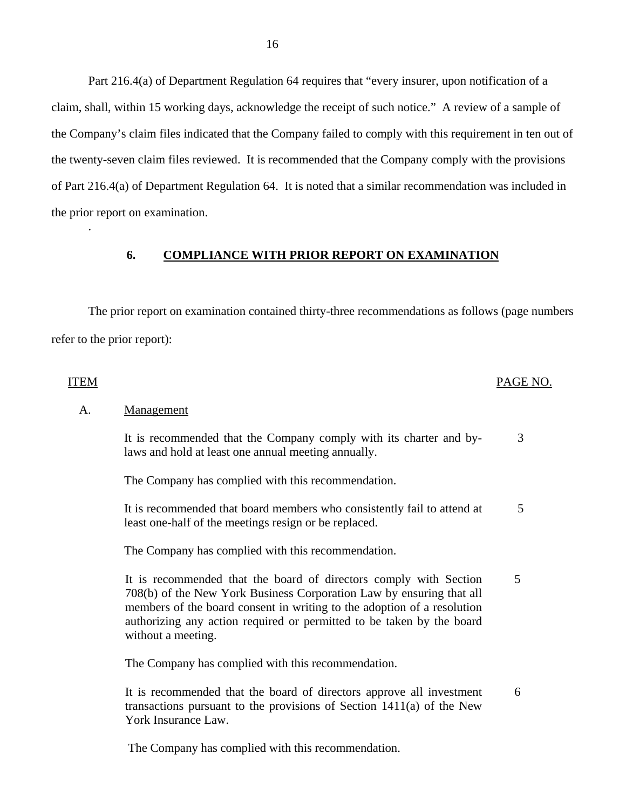<span id="page-17-0"></span>Part 216.4(a) of Department Regulation 64 requires that "every insurer, upon notification of a claim, shall, within 15 working days, acknowledge the receipt of such notice." A review of a sample of the Company's claim files indicated that the Company failed to comply with this requirement in ten out of the twenty-seven claim files reviewed. It is recommended that the Company comply with the provisions of Part 216.4(a) of Department Regulation 64. It is noted that a similar recommendation was included in the prior report on examination.

#### **6. COMPLIANCE WITH PRIOR REPORT ON EXAMINATION**

The prior report on examination contained thirty-three recommendations as follows (page numbers refer to the prior report):

#### ITEM PAGE NO.

.

# A. Management

It is recommended that the Company comply with its charter and by-<br>3 laws and hold at least one annual meeting annually.

The Company has complied with this recommendation.

It is recommended that board members who consistently fail to attend at  $5$ least one-half of the meetings resign or be replaced.

The Company has complied with this recommendation.

It is recommended that the board of directors comply with Section 5 708(b) of the New York Business Corporation Law by ensuring that all members of the board consent in writing to the adoption of a resolution authorizing any action required or permitted to be taken by the board without a meeting.

The Company has complied with this recommendation.

It is recommended that the board of directors approve all investment 6 transactions pursuant to the provisions of Section 1411(a) of the New York Insurance Law.

The Company has complied with this recommendation.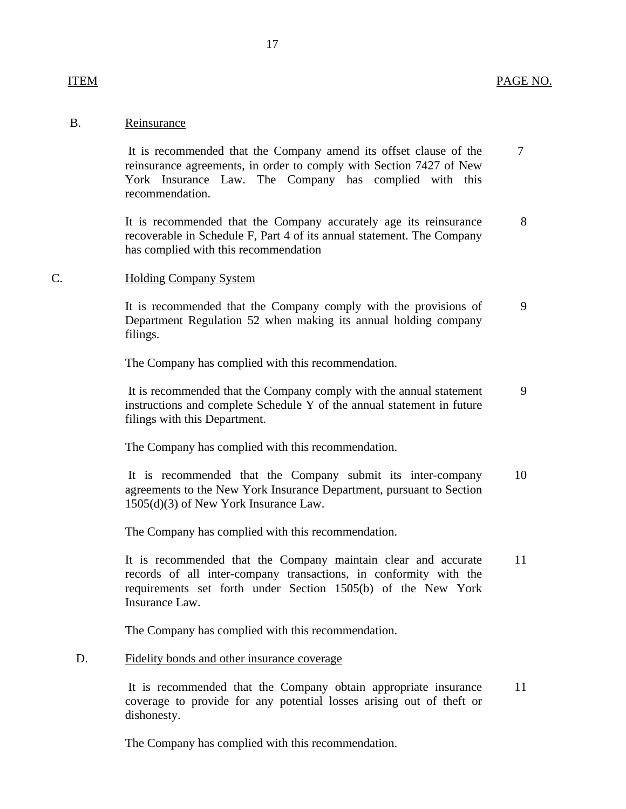#### B. Reinsurance

ITEM

It is recommended that the Company amend its offset clause of the reinsurance agreements, in order to comply with Section 7427 of New York Insurance Law. The Company has complied with this recommendation. 7

It is recommended that the Company accurately age its reinsurance recoverable in Schedule F, Part 4 of its annual statement. The Company has complied with this recommendation 8

#### $\mathcal{C}$ Holding Company System

It is recommended that the Company comply with the provisions of Department Regulation 52 when making its annual holding company filings. 9

The Company has complied with this recommendation.

It is recommended that the Company comply with the annual statement instructions and complete Schedule Y of the annual statement in future filings with this Department. 9

The Company has complied with this recommendation.

It is recommended that the Company submit its inter-company agreements to the New York Insurance Department, pursuant to Section 1505(d)(3) of New York Insurance Law. 10

The Company has complied with this recommendation.

It is recommended that the Company maintain clear and accurate records of all inter-company transactions, in conformity with the requirements set forth under Section 1505(b) of the New York Insurance Law. 11

The Company has complied with this recommendation.

#### D. Fidelity bonds and other insurance coverage

It is recommended that the Company obtain appropriate insurance coverage to provide for any potential losses arising out of theft or dishonesty. 11

The Company has complied with this recommendation.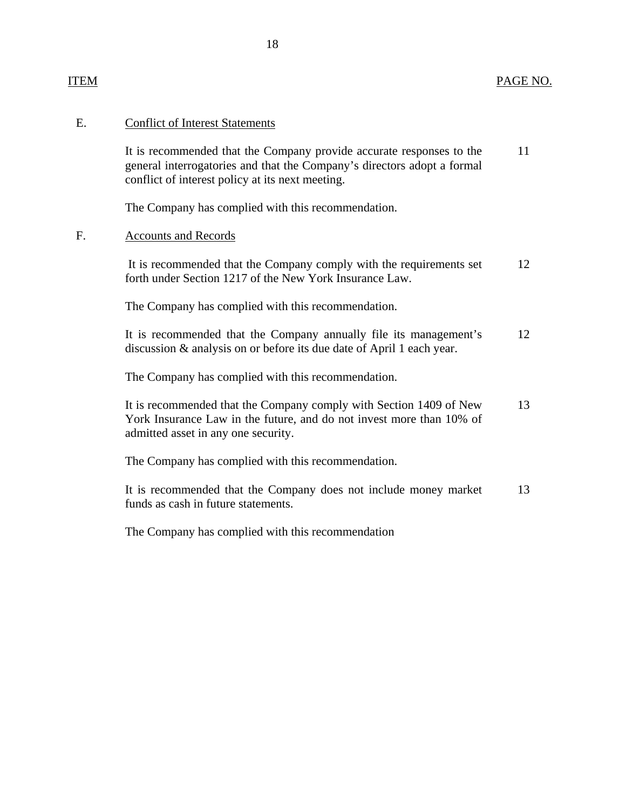#### ITEM PAGE NO.

#### E. Conflict of Interest Statements

It is recommended that the Company provide accurate responses to the 11 general interrogatories and that the Company's directors adopt a formal conflict of interest policy at its next meeting.

The Company has complied with this recommendation.

### F. Accounts and Records

It is recommended that the Company comply with the requirements set 12 forth under Section 1217 of the New York Insurance Law.

The Company has complied with this recommendation.

It is recommended that the Company annually file its management's 12 discussion & analysis on or before its due date of April 1 each year.

The Company has complied with this recommendation.

It is recommended that the Company comply with Section 1409 of New 13 York Insurance Law in the future, and do not invest more than 10% of admitted asset in any one security.

The Company has complied with this recommendation.

It is recommended that the Company does not include money market 13 funds as cash in future statements.

The Company has complied with this recommendation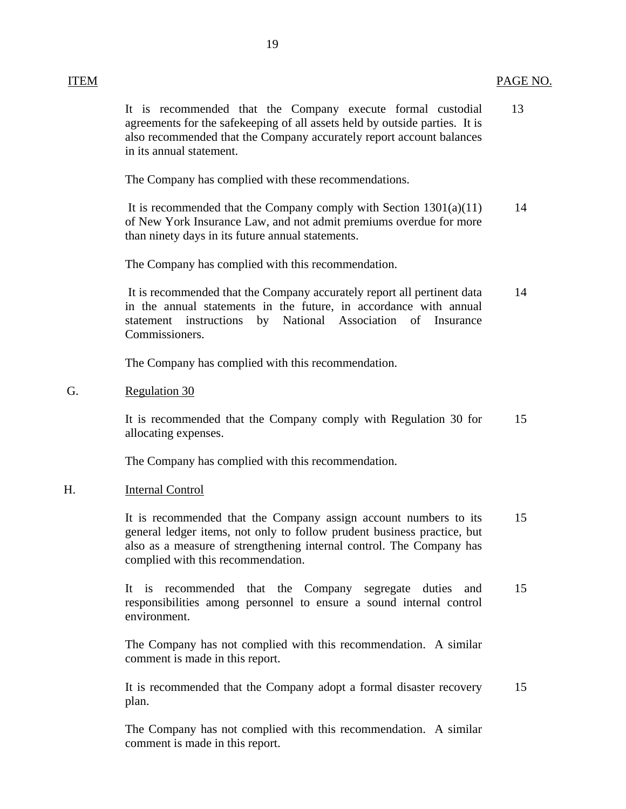It is recommended that the Company execute formal custodial 13 agreements for the safekeeping of all assets held by outside parties. It is also recommended that the Company accurately report account balances in its annual statement.

The Company has complied with these recommendations.

It is recommended that the Company comply with Section  $1301(a)(11)$  14 of New York Insurance Law, and not admit premiums overdue for more than ninety days in its future annual statements.

The Company has complied with this recommendation.

It is recommended that the Company accurately report all pertinent data 14 in the annual statements in the future, in accordance with annual statement instructions by National Association of Insurance Commissioners.

The Company has complied with this recommendation.

G. Regulation 30

It is recommended that the Company comply with Regulation 30 for 15 allocating expenses.

The Company has complied with this recommendation.

## H. Internal Control

It is recommended that the Company assign account numbers to its 15 general ledger items, not only to follow prudent business practice, but also as a measure of strengthening internal control. The Company has complied with this recommendation.

It is recommended that the Company segregate duties and 15 responsibilities among personnel to ensure a sound internal control environment.

The Company has not complied with this recommendation. A similar comment is made in this report.

It is recommended that the Company adopt a formal disaster recovery 15 plan.

The Company has not complied with this recommendation. A similar comment is made in this report.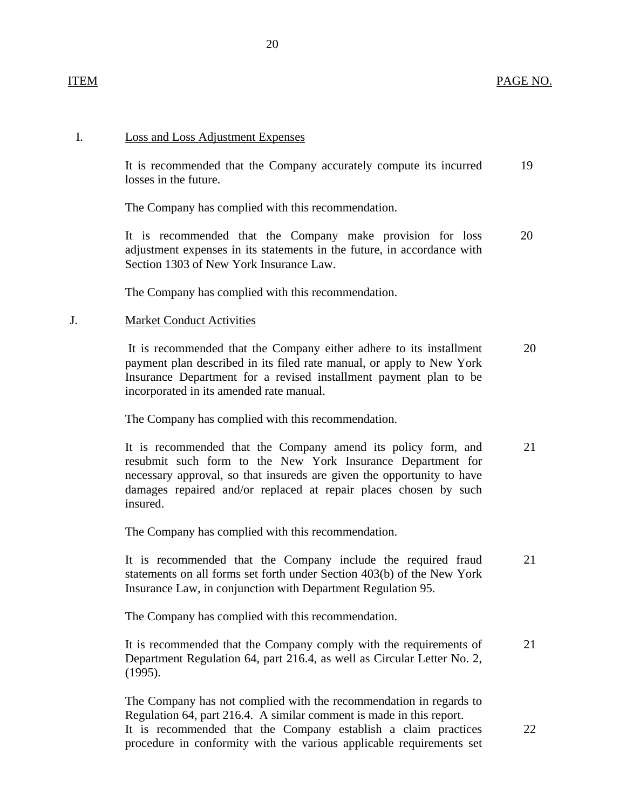#### ITEM PAGE NO.

#### I. Loss and Loss Adjustment Expenses

It is recommended that the Company accurately compute its incurred 19 losses in the future.

The Company has complied with this recommendation.

It is recommended that the Company make provision for loss 20 adjustment expenses in its statements in the future, in accordance with Section 1303 of New York Insurance Law.

The Company has complied with this recommendation.

#### J. Market Conduct Activities

It is recommended that the Company either adhere to its installment 20 payment plan described in its filed rate manual, or apply to New York Insurance Department for a revised installment payment plan to be incorporated in its amended rate manual.

The Company has complied with this recommendation.

It is recommended that the Company amend its policy form, and 21 resubmit such form to the New York Insurance Department for necessary approval, so that insureds are given the opportunity to have damages repaired and/or replaced at repair places chosen by such insured.

The Company has complied with this recommendation.

It is recommended that the Company include the required fraud 21 statements on all forms set forth under Section 403(b) of the New York Insurance Law, in conjunction with Department Regulation 95.

The Company has complied with this recommendation.

It is recommended that the Company comply with the requirements of 21 Department Regulation 64, part 216.4, as well as Circular Letter No. 2, (1995).

The Company has not complied with the recommendation in regards to Regulation 64, part 216.4. A similar comment is made in this report. It is recommended that the Company establish a claim practices 22 procedure in conformity with the various applicable requirements set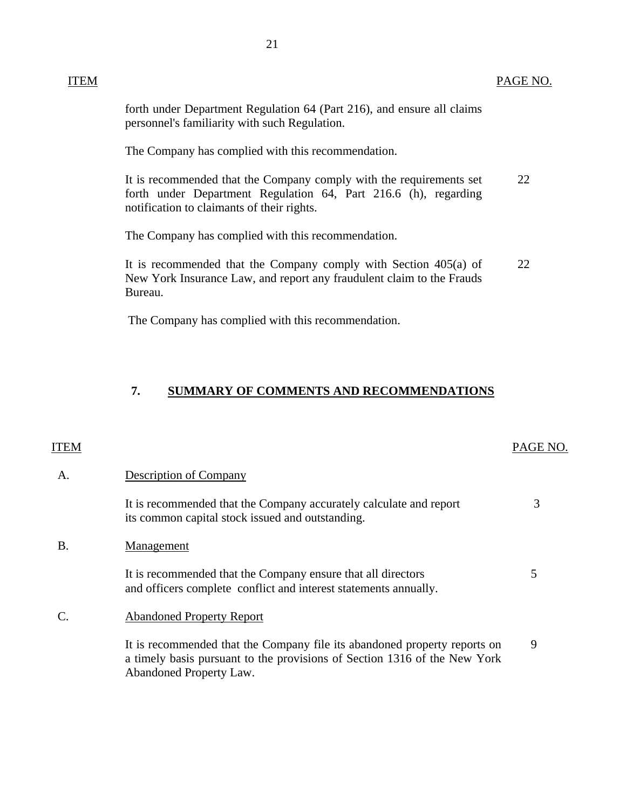<span id="page-22-0"></span>forth under Department Regulation 64 (Part 216), and ensure all claims personnel's familiarity with such Regulation.

The Company has complied with this recommendation.

It is recommended that the Company comply with the requirements set 22 forth under Department Regulation 64, Part 216.6 (h), regarding notification to claimants of their rights.

The Company has complied with this recommendation.

It is recommended that the Company comply with Section 405(a) of 22 New York Insurance Law, and report any fraudulent claim to the Frauds Bureau.

The Company has complied with this recommendation.

## **7. SUMMARY OF COMMENTS AND RECOMMENDATIONS**

# ITEM PAGE NO.

| Α.        | <b>Description of Company</b>                                                                                                                                                     |   |
|-----------|-----------------------------------------------------------------------------------------------------------------------------------------------------------------------------------|---|
|           | It is recommended that the Company accurately calculate and report<br>its common capital stock issued and outstanding.                                                            | 3 |
| <b>B.</b> | Management                                                                                                                                                                        |   |
|           | It is recommended that the Company ensure that all directors<br>and officers complete conflict and interest statements annually.                                                  |   |
|           | <b>Abandoned Property Report</b>                                                                                                                                                  |   |
|           | It is recommended that the Company file its abandoned property reports on<br>a timely basis pursuant to the provisions of Section 1316 of the New York<br>Abandoned Property Law. | 9 |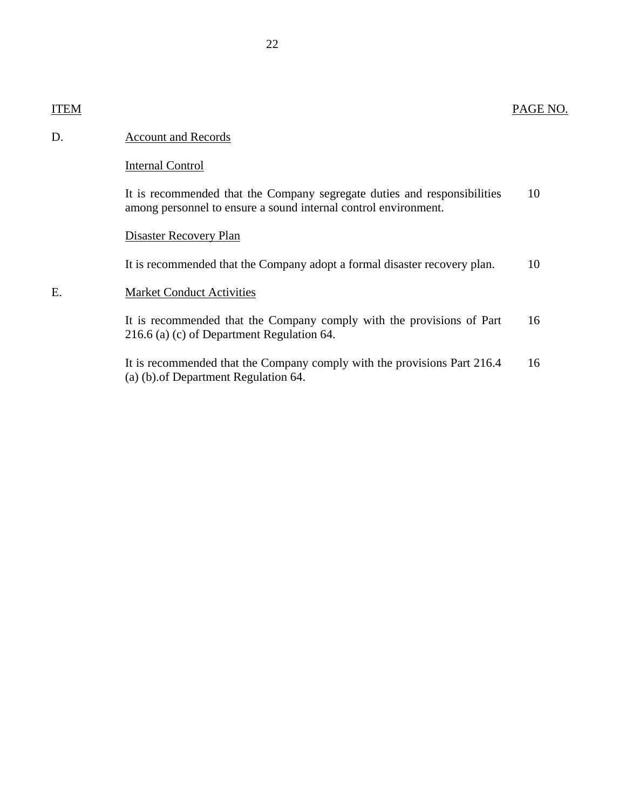# D. Account and Records

## Internal Control

It is recommended that the Company segregate duties and responsibilities 10 among personnel to ensure a sound internal control environment.

## Disaster Recovery Plan

It is recommended that the Company adopt a formal disaster recovery plan. 10

## E. Market Conduct Activities

It is recommended that the Company comply with the provisions of Part 16 216.6 (a) (c) of Department Regulation 64.

It is recommended that the Company comply with the provisions Part 216.4 16 (a) (b).of Department Regulation 64.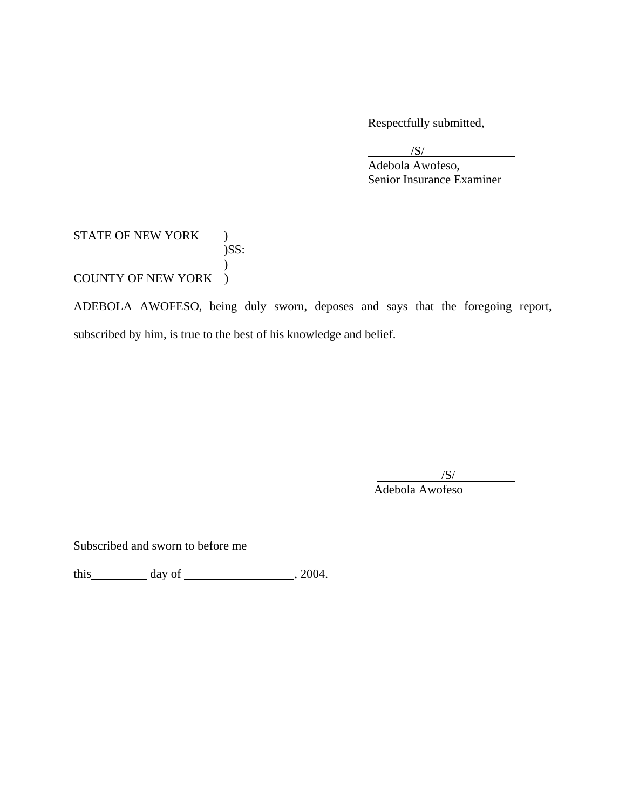Respectfully submitted,

/S/

 Adebola Awofeso, Senior Insurance Examiner

STATE OF NEW YORK ) )SS:  $\mathcal{L}$ COUNTY OF NEW YORK )

ADEBOLA AWOFESO, being duly sworn, deposes and says that the foregoing report, subscribed by him, is true to the best of his knowledge and belief.

> $/S/$ Adebola Awofeso

Subscribed and sworn to before me

this  $\qquad \qquad$  day of  $\qquad \qquad$  , 2004.